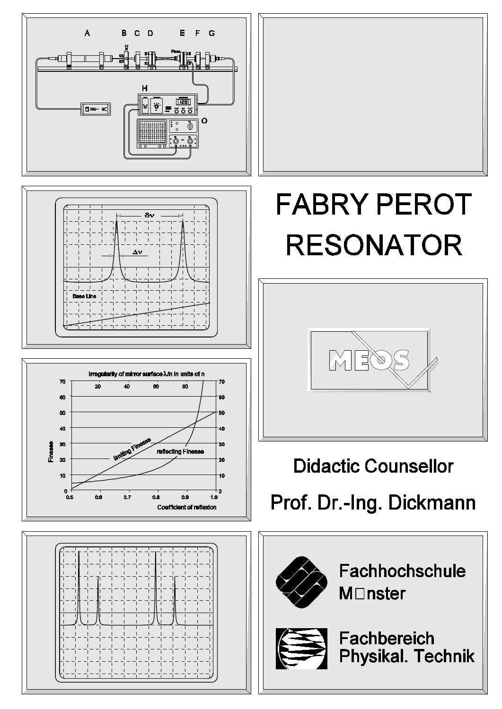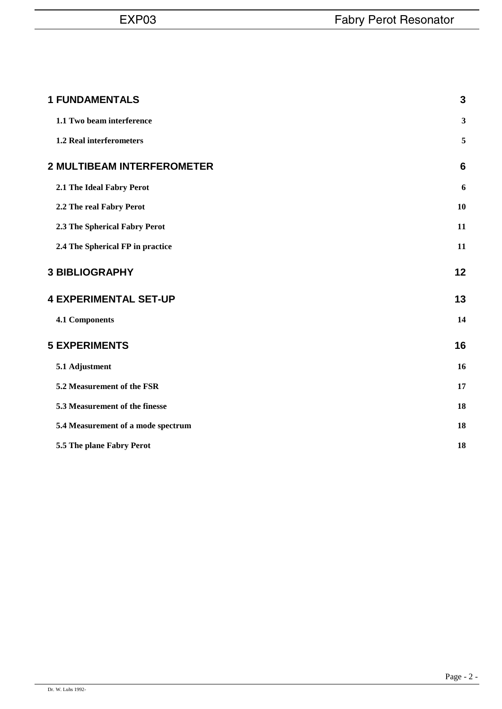| <b>1 FUNDAMENTALS</b>              | $\mathbf{3}$    |
|------------------------------------|-----------------|
| 1.1 Two beam interference          | $\mathbf{3}$    |
| 1.2 Real interferometers           | 5               |
| <b>2 MULTIBEAM INTERFEROMETER</b>  | $6\phantom{1}6$ |
| 2.1 The Ideal Fabry Perot          | 6               |
| 2.2 The real Fabry Perot           | 10              |
| 2.3 The Spherical Fabry Perot      | 11              |
| 2.4 The Spherical FP in practice   | 11              |
| <b>3 BIBLIOGRAPHY</b>              | 12              |
| <b>4 EXPERIMENTAL SET-UP</b>       | 13              |
| 4.1 Components                     | 14              |
| <b>5 EXPERIMENTS</b>               | 16              |
| 5.1 Adjustment                     | 16              |
| 5.2 Measurement of the FSR         | 17              |
| 5.3 Measurement of the finesse     | 18              |
| 5.4 Measurement of a mode spectrum | 18              |
| 5.5 The plane Fabry Perot          | 18              |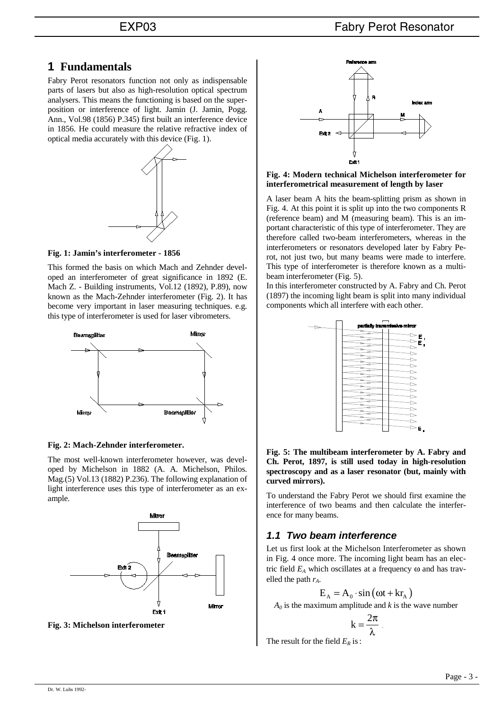# **1 Fundamentals**

Fabry Perot resonators function not only as indispensable parts of lasers but also as high-resolution optical spectrum analysers. This means the functioning is based on the superposition or interference of light. Jamin (J. Jamin, Pogg. Ann., Vol.98 (1856) P.345) first built an interference device in 1856. He could measure the relative refractive index of optical media accurately with this device (Fig. 1).



**Fig. 1: Jamin's interferometer - 1856**

This formed the basis on which Mach and Zehnder developed an interferometer of great significance in 1892 (E. Mach Z. - Building instruments, Vol.12 (1892), P.89), now known as the Mach-Zehnder interferometer (Fig. 2). It has become very important in laser measuring techniques. e.g. this type of interferometer is used for laser vibrometers.



### **Fig. 2: Mach-Zehnder interferometer.**

The most well-known interferometer however, was developed by Michelson in 1882 (A. A. Michelson, Philos. Mag.(5) Vol.13 (1882) P.236). The following explanation of light interference uses this type of interferometer as an example.



**Fig. 3: Michelson interferometer**



**Fig. 4: Modern technical Michelson interferometer for interferometrical measurement of length by laser**

A laser beam A hits the beam-splitting prism as shown in Fig. 4. At this point it is split up into the two components R (reference beam) and M (measuring beam). This is an important characteristic of this type of interferometer. They are therefore called two-beam interferometers, whereas in the interferometers or resonators developed later by Fabry Perot, not just two, but many beams were made to interfere. This type of interferometer is therefore known as a multibeam interferometer (Fig. 5).

In this interferometer constructed by A. Fabry and Ch. Perot (1897) the incoming light beam is split into many individual components which all interfere with each other.



**Fig. 5: The multibeam interferometer by A. Fabry and Ch. Perot, 1897, is still used today in high-resolution spectroscopy and as a laser resonator (but, mainly with curved mirrors).**

To understand the Fabry Perot we should first examine the interference of two beams and then calculate the interference for many beams.

# *1.1 Two beam interference*

Let us first look at the Michelson Interferometer as shown in Fig. 4 once more. The incoming light beam has an electric field  $E_A$  which oscillates at a frequency  $\omega$  and has travelled the path  $r_A$ .

$$
E_{A} = A_{0} \cdot \sin(\omega t + k r_{A})
$$

 $A_0$  is the maximum amplitude and *k* is the wave number

$$
k=\frac{2\pi}{\lambda}
$$

The result for the field  $E_R$  is: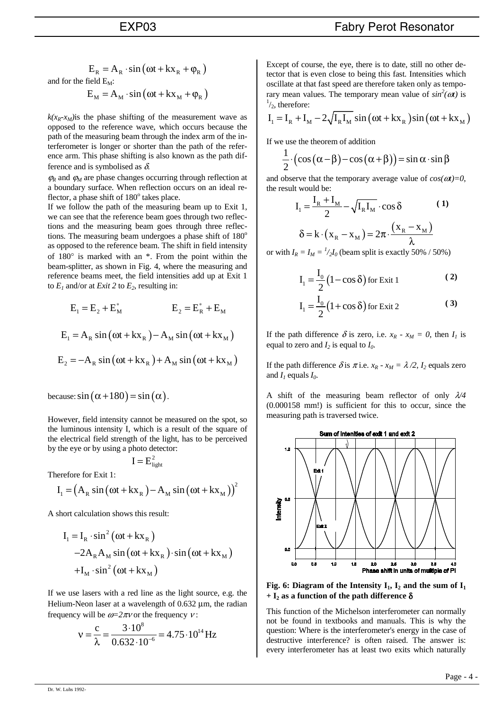$$
E_R = A_R \cdot \sin(\omega t + kx_R + \varphi_R)
$$
  
or the field  $E_M$ :

and for

$$
E_{M} = A_{M} \cdot \sin(\omega t + kx_{M} + \varphi_{R})
$$

 $k(x_R-x_M)$ is the phase shifting of the measurement wave as opposed to the reference wave, which occurs because the path of the measuring beam through the index arm of the interferometer is longer or shorter than the path of the reference arm. This phase shifting is also known as the path difference and is symbolised as  $\delta$ .

 $\varphi_R$  and  $\varphi_M$  are phase changes occurring through reflection at a boundary surface. When reflection occurs on an ideal reflector, a phase shift of  $180^\circ$  takes place.

If we follow the path of the measuring beam up to Exit 1, we can see that the reference beam goes through two reflections and the measuring beam goes through three reflections. The measuring beam undergoes a phase shift of  $180^\circ$ as opposed to the reference beam. The shift in field intensity of 180° is marked with an \*. From the point within the beam-splitter, as shown in Fig. 4, where the measuring and reference beams meet, the field intensities add up at Exit 1 to  $E_1$  and/or at *Exit* 2 to  $E_2$ , resulting in:

$$
E_1 = E_2 + E_M^* \t E_2 = E_R^* + E_M
$$
  
\n
$$
E_1 = A_R \sin(\omega t + kx_R) - A_M \sin(\omega t + kx_M)
$$
  
\n
$$
E_2 = -A_R \sin(\omega t + kx_R) + A_M \sin(\omega t + kx_M)
$$

because:  $\sin (\alpha + 180) = \sin (\alpha)$ .

However, field intensity cannot be measured on the spot, so the luminous intensity I, which is a result of the square of the electrical field strength of the light, has to be perceived by the eye or by using a photo detector:

$$
I\,{=}\,E_{\text{light}}^2
$$

Therefore for Exit 1:

$$
I_{1} = (A_{R} \sin(\omega t + kx_{R}) - A_{M} \sin(\omega t + kx_{M}))^{2}
$$

A short calculation shows this result:

$$
I_1 = I_R \cdot \sin^2 (\omega t + kx_R)
$$
  
-2A<sub>R</sub>A<sub>M</sub> sin(\omega t + kx<sub>R</sub>) \cdot sin(\omega t + kx<sub>M</sub>)  
+I<sub>M</sub> \cdot sin^2(\omega t + kx<sub>M</sub>)

If we use lasers with a red line as the light source, e.g. the Helium-Neon laser at a wavelength of  $0.632 \mu m$ , the radian frequency will be  $\omega = 2\pi v$  or the frequency  $v$ :

$$
v = \frac{c}{\lambda} = \frac{3 \cdot 10^8}{0.632 \cdot 10^{-6}} = 4.75 \cdot 10^{14} \,\text{Hz}
$$

Except of course, the eye, there is to date, still no other detector that is even close to being this fast. Intensities which oscillate at that fast speed are therefore taken only as temporary mean values. The temporary mean value of  $sin^2(\omega t)$  is  $\frac{1}{t}$  therefore:  $\frac{1}{2}$ , therefore:

$$
I_1 = I_R + I_M - 2\sqrt{I_R I_M} \sin(\omega t + kx_R) \sin(\omega t + kx_M)
$$

If we use the theorem of addition

$$
\frac{1}{2} \cdot (\cos(\alpha - \beta) - \cos(\alpha + \beta)) = \sin \alpha \cdot \sin \beta
$$

and observe that the temporary average value of  $cos(\omega t)=0$ , the result would be:

$$
I_1 = \frac{I_R + I_M}{2} - \sqrt{I_R I_M} \cdot \cos \delta
$$
 (1)  

$$
\delta = k \cdot (x_R - x_M) = 2\pi \cdot \frac{(x_R - x_M)}{\lambda}
$$

or with  $I_R = I_M = \frac{I}{2I_0}$  (beam split is exactly 50% / 50%)

$$
I_1 = \frac{I_0}{2} (1 - \cos \delta) \text{ for Ext } 1
$$
 (2)

$$
I_1 = \frac{I_0}{2} (1 + \cos \delta) \text{ for Ext } 2
$$
 (3)

If the path difference  $\delta$  is zero, i.e.  $x_R - x_M = 0$ , then  $I_1$  is equal to zero and  $I_2$  is equal to  $I_0$ .

If the path difference  $\delta$  is  $\pi$  i.e.  $x_R - x_M = \lambda/2$ ,  $I_2$  equals zero and  $I_1$  equals  $I_0$ .

A shift of the measuring beam reflector of only λ*/4* (0.000158 mm!) is sufficient for this to occur, since the measuring path is traversed twice.



**Fig. 6: Diagram of the Intensity**  $I_1$ **,**  $I_2$  **and the sum of**  $I_1$  $+ I_2$  as a function of the path difference  $\delta$ 

This function of the Michelson interferometer can normally not be found in textbooks and manuals. This is why the question: Where is the interferometer's energy in the case of destructive interference? is often raised. The answer is: every interferometer has at least two exits which naturally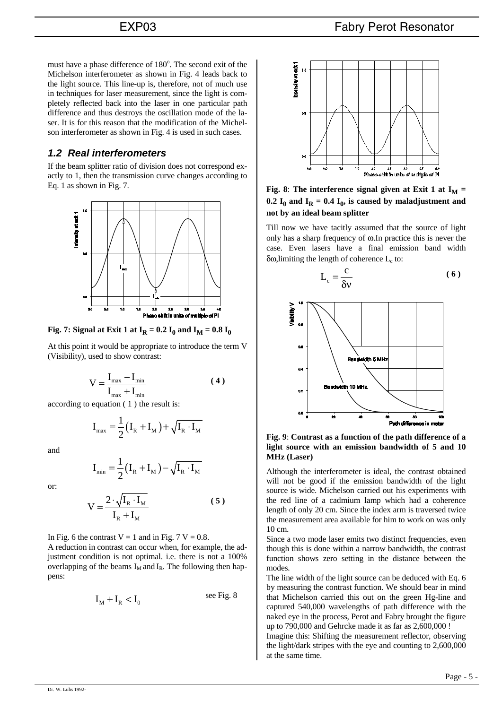must have a phase difference of 180°. The second exit of the Michelson interferometer as shown in Fig. 4 leads back to the light source. This line-up is, therefore, not of much use in techniques for laser measurement, since the light is completely reflected back into the laser in one particular path difference and thus destroys the oscillation mode of the laser. It is for this reason that the modification of the Michelson interferometer as shown in Fig. 4 is used in such cases.

# *1.2 Real interferometers*

If the beam splitter ratio of division does not correspond exactly to 1, then the transmission curve changes according to Eq. 1 as shown in Fig. 7.



**Fig. 7:** Signal at Exit 1 at  $I_R = 0.2 I_0$  and  $I_M = 0.8 I_0$ 

At this point it would be appropriate to introduce the term V (Visibility), used to show contrast:

$$
V = \frac{I_{\text{max}} - I_{\text{min}}}{I_{\text{max}} + I_{\text{min}}}
$$
(4)

according to equation ( 1 ) the result is:

$$
I_{\max} = \frac{1}{2} (I_R + I_M) + \sqrt{I_R \cdot I_M}
$$

and

$$
\mathbf{I}_{\min} = \frac{1}{2} (\mathbf{I}_{\mathrm{R}} + \mathbf{I}_{\mathrm{M}}) - \sqrt{\mathbf{I}_{\mathrm{R}} \cdot \mathbf{I}_{\mathrm{M}}}
$$

or:

$$
V = \frac{2 \cdot \sqrt{I_R \cdot I_M}}{I_R + I_M}
$$
 (5)

In Fig. 6 the contrast  $V = 1$  and in Fig. 7 V = 0.8.

A reduction in contrast can occur when, for example, the adjustment condition is not optimal. i.e. there is not a 100% overlapping of the beams  $I_M$  and  $I_R$ . The following then happens:

$$
I_M + I_R < I_0 \quad \text{see Fig. 8}
$$



**Fig. 8**: The interference signal given at Exit 1 at  $I_M$  = 0.2  $I_0$  and  $I_R$  = 0.4  $I_0$ , is caused by maladjustment and **not by an ideal beam splitter**

Till now we have tacitly assumed that the source of light only has a sharp frequency of ω.In practice this is never the case. Even lasers have a final emission band width δω, limiting the length of coherence  $L_c$  to:

$$
L_c = \frac{c}{\delta v} \tag{6}
$$



**Fig. 9**: **Contrast as a function of the path difference of a light source with an emission bandwidth of 5 and 10 MHz (Laser)**

Although the interferometer is ideal, the contrast obtained will not be good if the emission bandwidth of the light source is wide. Michelson carried out his experiments with the red line of a cadmium lamp which had a coherence length of only 20 cm. Since the index arm is traversed twice the measurement area available for him to work on was only 10 cm.

Since a two mode laser emits two distinct frequencies, even though this is done within a narrow bandwidth, the contrast function shows zero setting in the distance between the modes.

The line width of the light source can be deduced with Eq. 6 by measuring the contrast function. We should bear in mind that Michelson carried this out on the green Hg-line and captured 540,000 wavelengths of path difference with the naked eye in the process, Perot and Fabry brought the figure up to 790,000 and Gehrcke made it as far as 2,600,000 !

Imagine this: Shifting the measurement reflector, observing the light/dark stripes with the eye and counting to 2,600,000 at the same time.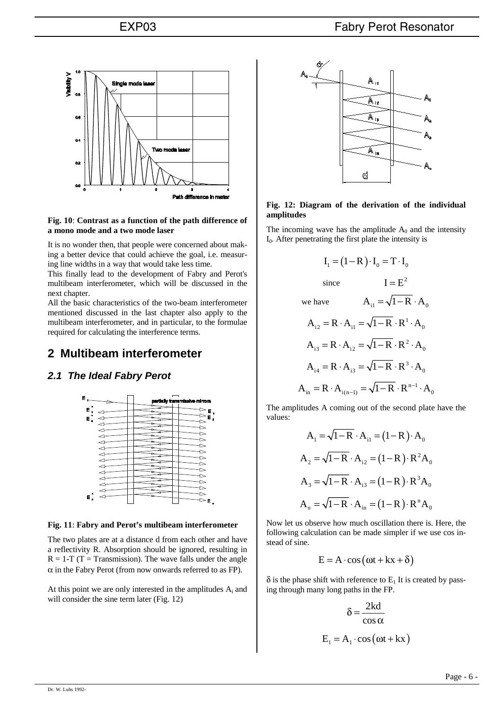

### **Fig. 10**: **Contrast as a function of the path difference of a mono mode and a two mode laser**

It is no wonder then, that people were concerned about making a better device that could achieve the goal, i.e. measuring line widths in a way that would take less time.

This finally lead to the development of Fabry and Perot's multibeam interferometer, which will be discussed in the next chapter.

All the basic characteristics of the two-beam interferometer mentioned discussed in the last chapter also apply to the multibeam interferometer, and in particular, to the formulae required for calculating the interference terms.

# **2 Multibeam interferometer**

# *2.1 The Ideal Fabry Perot*



### **Fig. 11**: **Fabry and Perot's multibeam interferometer**

The two plates are at a distance d from each other and have a reflectivity R. Absorption should be ignored, resulting in  $R = 1-T$  (T = Transmission). The wave falls under the angle  $\alpha$  in the Fabry Perot (from now onwards referred to as FP).

At this point we are only interested in the amplitudes  $A_i$  and will consider the sine term later (Fig. 12)



### **Fig. 12: Diagram of the derivation of the individual amplitudes**

The incoming wave has the amplitude  $A_0$  and the intensity  $I<sub>0</sub>$ . After penetrating the first plate the intensity is

$$
I_1 = (1 - R) \cdot I_0 = T \cdot I_0
$$
  
since 
$$
I = E^2
$$
  
we have 
$$
A_{i1} = \sqrt{1 - R} \cdot A_0
$$

$$
A_{i2} = R \cdot A_{i1} = \sqrt{1 - R} \cdot R^1 \cdot A_0
$$

$$
A_{i3} = R \cdot A_{i2} = \sqrt{1 - R} \cdot R^2 \cdot A_0
$$

$$
A_{i4} = R \cdot A_{i3} = \sqrt{1 - R} \cdot R^3 \cdot A_0
$$

$$
A_{in} = R \cdot A_{i(n-1)} = \sqrt{1 - R} \cdot R^{n-1} \cdot A_0
$$

The amplitudes A coming out of the second plate have the values:

$$
A_1 = \sqrt{1 - R} \cdot A_{i1} = (1 - R) \cdot A_0
$$
  
\n
$$
A_2 = \sqrt{1 - R} \cdot A_{i2} = (1 - R) \cdot R^2 A_0
$$
  
\n
$$
A_3 = \sqrt{1 - R} \cdot A_{i3} = (1 - R) \cdot R^3 A_0
$$
  
\n
$$
A_n = \sqrt{1 - R} \cdot A_{in} = (1 - R) \cdot R^n A_0
$$

Now let us observe how much oscillation there is. Here, the following calculation can be made simpler if we use cos instead of sine.

$$
E = A \cdot \cos(\omega t + kx + \delta)
$$

 $\delta$  is the phase shift with reference to  $E_1$  It is created by passing through many long paths in the FP.

$$
\delta = \frac{2kd}{\cos \alpha}
$$

$$
E_1 = A_1 \cdot \cos(\omega t + kx)
$$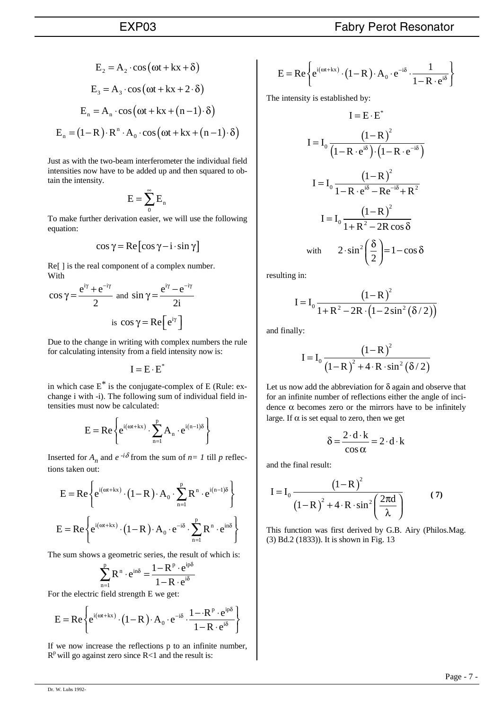$$
E_2 = A_2 \cdot \cos(\omega t + kx + \delta)
$$
  
\n
$$
E_3 = A_3 \cdot \cos(\omega t + kx + 2 \cdot \delta)
$$
  
\n
$$
E_n = A_n \cdot \cos(\omega t + kx + (n-1) \cdot \delta)
$$
  
\n
$$
E_n = (1 - R) \cdot R^n \cdot A_0 \cdot \cos(\omega t + kx + (n-1) \cdot \delta)
$$

Just as with the two-beam interferometer the individual field intensities now have to be added up and then squared to obtain the intensity.

$$
E=\sum_0^\infty E_n
$$

To make further derivation easier, we will use the following equation:

$$
\cos \gamma = \text{Re} \left[ \cos \gamma - \mathbf{i} \cdot \sin \gamma \right]
$$

Re[] is the real component of a complex number. With

$$
\cos \gamma = \frac{e^{i\gamma} + e^{-i\gamma}}{2} \text{ and } \sin \gamma = \frac{e^{i\gamma} - e^{-i\gamma}}{2i}
$$
  
is  $\cos \gamma = \text{Re}\left[e^{i\gamma}\right]$ 

Due to the change in writing with complex numbers the rule for calculating intensity from a field intensity now is:

$$
\mathbf{I} = \mathbf{E} \cdot \mathbf{E}^*
$$

in which case  $E^*$  is the conjugate-complex of E (Rule: exchange i with -i). The following sum of individual field intensities must now be calculated:

$$
E=Re\left\{e^{i(\omega t+kx)}\cdot\sum_{n=1}^pA_n\cdot e^{i(n-1)\delta}\right\}
$$

Inserted for  $A_n$  and  $e^{-i\delta}$  from the sum of  $n=1$  till p reflections taken out:

$$
E = Re \left\{ e^{i(\omega t + kx)} \cdot (1 - R) \cdot A_0 \cdot \sum_{n=1}^p R^n \cdot e^{i(n-1)\delta} \right\}
$$
  

$$
E = Re \left\{ e^{i(\omega t + kx)} \cdot (1 - R) \cdot A_0 \cdot e^{-i\delta} \cdot \sum_{n=1}^p R^n \cdot e^{in\delta} \right\}
$$

The sum shows a geometric series, the result of which is:

$$
\sum_{\rm n=1}^{\rm p} R^{\rm n} \cdot e^{\rm in\delta} = \frac{1-R^{\rm p} \cdot e^{\rm ip\delta}}{1-R \cdot e^{\rm i\delta}}
$$

For the electric field strength E we get:

$$
E = Re \left\{ e^{i(\omega t + kx)} \cdot (1 - R) \cdot A_0 \cdot e^{-i\delta} \cdot \frac{1 - R^p \cdot e^{ip\delta}}{1 - R \cdot e^{i\delta}} \right\}
$$

If we now increase the reflections p to an infinite number,  $R<sup>p</sup>$  will go against zero since R<1 and the result is:

$$
E = Re \left\{ e^{i(\omega t + kx)} \cdot (1 - R) \cdot A_0 \cdot e^{-i\delta} \cdot \frac{1}{1 - R \cdot e^{i\delta}} \right\}
$$

The intensity is established by:

$$
I = E \cdot E^*
$$
  
\n
$$
I = I_0 \frac{(1 - R)^2}{(1 - R \cdot e^{i\delta}) \cdot (1 - R \cdot e^{-i\delta})}
$$
  
\n
$$
I = I_0 \frac{(1 - R)^2}{1 - R \cdot e^{i\delta} - Re^{-i\delta} + R^2}
$$
  
\n
$$
I = I_0 \frac{(1 - R)^2}{1 + R^2 - 2R \cos \delta}
$$
  
\nwith  $2 \cdot \sin^2 \left(\frac{\delta}{2}\right) = 1 - \cos \delta$ 

resulting in:

$$
I = I_0 \frac{(1 - R)^2}{1 + R^2 - 2R \cdot (1 - 2\sin^2(\delta/2))}
$$

and finally:

$$
I = I_0 \frac{(1 - R)^2}{(1 - R)^2 + 4 \cdot R \cdot \sin^2(\delta/2)}
$$

Let us now add the abbreviation for  $\delta$  again and observe that for an infinite number of reflections either the angle of incidence  $\alpha$  becomes zero or the mirrors have to be infinitely large. If  $\alpha$  is set equal to zero, then we get

$$
\delta = \frac{2 \cdot d \cdot k}{\cos \alpha} = 2 \cdot d \cdot k
$$

and the final result:

$$
I = I_0 \frac{(1 - R)^2}{(1 - R)^2 + 4 \cdot R \cdot \sin^2\left(\frac{2\pi d}{\lambda}\right)}
$$
(7)

This function was first derived by G.B. Airy (Philos.Mag. (3) Bd.2 (1833)). It is shown in Fig. 13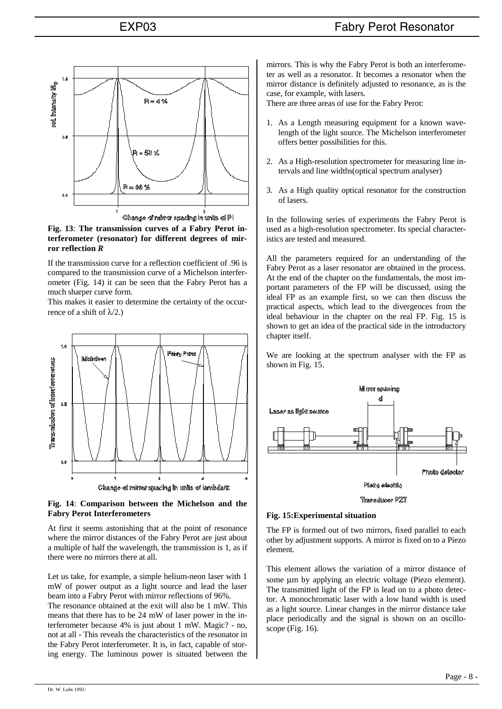

#### **Fig. 13**: **The transmission curves of a Fabry Perot interferometer (resonator) for different degrees of mirror reflection** *R*

If the transmission curve for a reflection coefficient of .96 is compared to the transmission curve of a Michelson interferometer (Fig. 14) it can be seen that the Fabry Perot has a much sharper curve form.

This makes it easier to determine the certainty of the occurrence of a shift of  $\lambda$ /2.)



### **Fig. 14**: **Comparison between the Michelson and the Fabry Perot Interferometers**

At first it seems astonishing that at the point of resonance where the mirror distances of the Fabry Perot are just about a multiple of half the wavelength, the transmission is 1, as if there were no mirrors there at all.

Let us take, for example, a simple helium-neon laser with 1 mW of power output as a light source and lead the laser beam into a Fabry Perot with mirror reflections of 96%.

The resonance obtained at the exit will also be 1 mW. This means that there has to be 24 mW of laser power in the interferometer because 4% is just about 1 mW. Magic? - no, not at all - This reveals the characteristics of the resonator in the Fabry Perot interferometer. It is, in fact, capable of storing energy. The luminous power is situated between the mirrors. This is why the Fabry Perot is both an interferometer as well as a resonator. It becomes a resonator when the mirror distance is definitely adjusted to resonance, as is the case, for example, with lasers.

There are three areas of use for the Fabry Perot:

- 1. As a Length measuring equipment for a known wavelength of the light source. The Michelson interferometer offers better possibilities for this.
- 2. As a High-resolution spectrometer for measuring line intervals and line widths(optical spectrum analyser)
- 3. As a High quality optical resonator for the construction of lasers.

In the following series of experiments the Fabry Perot is used as a high-resolution spectrometer. Its special characteristics are tested and measured.

All the parameters required for an understanding of the Fabry Perot as a laser resonator are obtained in the process. At the end of the chapter on the fundamentals, the most important parameters of the FP will be discussed, using the ideal FP as an example first, so we can then discuss the practical aspects, which lead to the divergences from the ideal behaviour in the chapter on the real FP. Fig. 15 is shown to get an idea of the practical side in the introductory chapter itself.

We are looking at the spectrum analyser with the FP as shown in Fig. 15.



### **Fig. 15:Experimental situation**

The FP is formed out of two mirrors, fixed parallel to each other by adjustment supports. A mirror is fixed on to a Piezo element.

This element allows the variation of a mirror distance of some  $\mu$ m by applying an electric voltage (Piezo element). The transmitted light of the FP is lead on to a photo detector. A monochromatic laser with a low band width is used as a light source. Linear changes in the mirror distance take place periodically and the signal is shown on an oscilloscope (Fig. 16).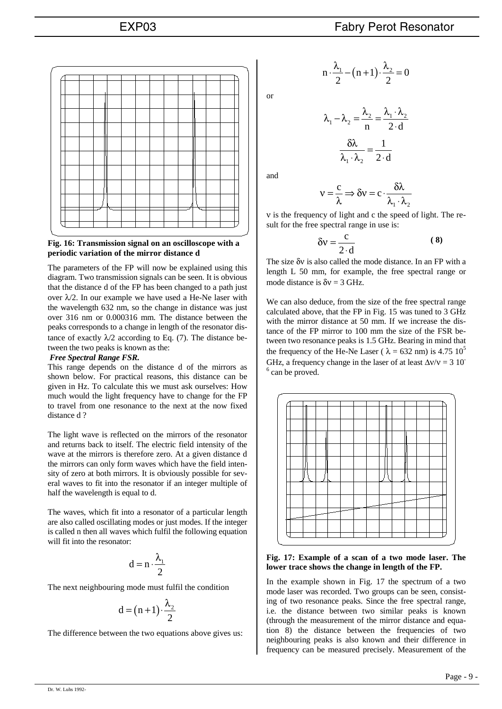

### **Fig. 16: Transmission signal on an oscilloscope with a periodic variation of the mirror distance d**

The parameters of the FP will now be explained using this diagram. Two transmission signals can be seen. It is obvious that the distance d of the FP has been changed to a path just over  $\lambda/2$ . In our example we have used a He-Ne laser with the wavelength 632 nm, so the change in distance was just over 316 nm or 0.000316 mm. The distance between the peaks corresponds to a change in length of the resonator distance of exactly  $\lambda/2$  according to Eq. (7). The distance between the two peaks is known as the:

### *Free Spectral Range FSR.*

This range depends on the distance d of the mirrors as shown below. For practical reasons, this distance can be given in Hz. To calculate this we must ask ourselves: How much would the light frequency have to change for the FP to travel from one resonance to the next at the now fixed distance d ?

The light wave is reflected on the mirrors of the resonator and returns back to itself. The electric field intensity of the wave at the mirrors is therefore zero. At a given distance d the mirrors can only form waves which have the field intensity of zero at both mirrors. It is obviously possible for several waves to fit into the resonator if an integer multiple of half the wavelength is equal to d.

The waves, which fit into a resonator of a particular length are also called oscillating modes or just modes. If the integer is called n then all waves which fulfil the following equation will fit into the resonator:

$$
d=n\cdot\frac{\lambda_1}{2}
$$

The next neighbouring mode must fulfil the condition

$$
d = (n+1) \cdot \frac{\lambda_2}{2}
$$

The difference between the two equations above gives us:

$$
\overline{\text{or}}
$$

$$
n \cdot \frac{\lambda_1}{2} - (n+1) \cdot \frac{\lambda_2}{2} = 0
$$

$$
\lambda_1 - \lambda_2 = \frac{\lambda_2}{n} = \frac{\lambda_1 \cdot \lambda_2}{2 \cdot d}
$$

$$
\frac{\delta \lambda}{\lambda_1 \cdot \lambda_2} = \frac{1}{2 \cdot d}
$$

and

$$
v = \frac{c}{\lambda} \Longrightarrow \delta v = c \cdot \frac{\delta \lambda}{\lambda_1 \cdot \lambda_2}
$$

ν is the frequency of light and c the speed of light. The result for the free spectral range in use is:

$$
\delta v = \frac{c}{2 \cdot d} \tag{8}
$$

The size δν is also called the mode distance. In an FP with a length L 50 mm, for example, the free spectral range or mode distance is  $\delta v = 3 \text{ GHz}$ .

We can also deduce, from the size of the free spectral range calculated above, that the FP in Fig. 15 was tuned to 3 GHz with the mirror distance at 50 mm. If we increase the distance of the FP mirror to 100 mm the size of the FSR between two resonance peaks is 1.5 GHz. Bearing in mind that the frequency of the He-Ne Laser ( $\lambda = 632$  nm) is 4.75 10<sup>5</sup> GHz, a frequency change in the laser of at least  $\Delta v/v = 3.10^{-1}$  $6$  can be proved.



### **Fig. 17: Example of a scan of a two mode laser. The lower trace shows the change in length of the FP.**

In the example shown in Fig. 17 the spectrum of a two mode laser was recorded. Two groups can be seen, consisting of two resonance peaks. Since the free spectral range, i.e. the distance between two similar peaks is known (through the measurement of the mirror distance and equation 8) the distance between the frequencies of two neighbouring peaks is also known and their difference in frequency can be measured precisely. Measurement of the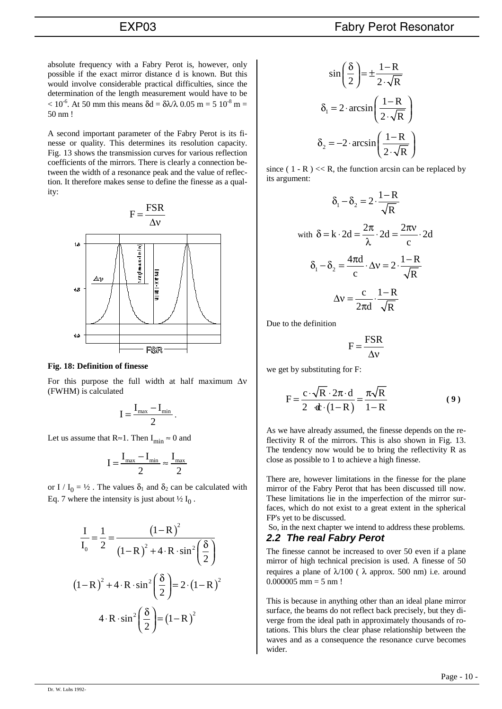absolute frequency with a Fabry Perot is, however, only possible if the exact mirror distance d is known. But this would involve considerable practical difficulties, since the determination of the length measurement would have to be  $< 10^{-6}$ . At 50 mm this means  $\delta d = \delta \lambda / \lambda$  0.05 m = 5 10<sup>-8</sup> m = 50 nm !

A second important parameter of the Fabry Perot is its finesse or quality. This determines its resolution capacity. Fig. 13 shows the transmission curves for various reflection coefficients of the mirrors. There is clearly a connection between the width of a resonance peak and the value of reflection. It therefore makes sense to define the finesse as a quality:



#### **Fig. 18: Definition of finesse**

For this purpose the full width at half maximum  $\Delta v$ (FWHM) is calculated

$$
I = \frac{I_{\max} - I_{\min}}{2}.
$$

Let us assume that  $R \approx 1$ . Then  $I_{\min} \approx 0$  and

$$
I=\frac{I_{max}-I_{min}}{2}\approx\frac{I_{max}}{2}
$$

or I /  $I_0 = \frac{1}{2}$ . The values  $\delta_1$  and  $\delta_2$  can be calculated with Eq. 7 where the intensity is just about  $\frac{1}{2} I_0$ .

$$
\frac{I}{I_0} = \frac{1}{2} = \frac{\left(1 - R\right)^2}{\left(1 - R\right)^2 + 4 \cdot R \cdot \sin^2\left(\frac{\delta}{2}\right)}
$$

$$
\left(1 - R\right)^2 + 4 \cdot R \cdot \sin^2\left(\frac{\delta}{2}\right) = 2 \cdot \left(1 - R\right)^2
$$

$$
4 \cdot R \cdot \sin^2\left(\frac{\delta}{2}\right) = \left(1 - R\right)^2
$$

$$
\sin\left(\frac{\delta}{2}\right) = \pm \frac{1 - R}{2 \cdot \sqrt{R}}
$$

$$
\delta_1 = 2 \cdot \arcsin\left(\frac{1 - R}{2 \cdot \sqrt{R}}\right)
$$

$$
\delta_2 = -2 \cdot \arcsin\left(\frac{1 - R}{2 \cdot \sqrt{R}}\right)
$$

since (  $1 - R$  ) << R, the function arcsin can be replaced by its argument:

$$
\delta_1 - \delta_2 = 2 \cdot \frac{1 - R}{\sqrt{R}}
$$
  
with  $\delta = k \cdot 2d = \frac{2\pi}{\lambda} \cdot 2d = \frac{2\pi v}{c} \cdot 2d$   

$$
\delta_1 - \delta_2 = \frac{4\pi d}{c} \cdot \Delta v = 2 \cdot \frac{1 - R}{\sqrt{R}}
$$
  

$$
\Delta v = \frac{c}{2\pi d} \cdot \frac{1 - R}{\sqrt{R}}
$$

Due to the definition

$$
F = \frac{FSR}{\Delta v}
$$

we get by substituting for F:

$$
F = \frac{c \cdot \sqrt{R} \cdot 2\pi \cdot d}{2 \cdot d \cdot (1 - R)} = \frac{\pi \sqrt{R}}{1 - R}
$$
(9)

As we have already assumed, the finesse depends on the reflectivity R of the mirrors. This is also shown in Fig. 13. The tendency now would be to bring the reflectivity R as close as possible to 1 to achieve a high finesse.

There are, however limitations in the finesse for the plane mirror of the Fabry Perot that has been discussed till now. These limitations lie in the imperfection of the mirror surfaces, which do not exist to a great extent in the spherical FP's yet to be discussed.

So, in the next chapter we intend to address these problems.

# *2.2 The real Fabry Perot*

The finesse cannot be increased to over 50 even if a plane mirror of high technical precision is used. A finesse of 50 requires a plane of  $λ/100$  ( $λ$  approx. 500 nm) i.e. around  $0.000005$  mm = 5 nm !

This is because in anything other than an ideal plane mirror surface, the beams do not reflect back precisely, but they diverge from the ideal path in approximately thousands of rotations. This blurs the clear phase relationship between the waves and as a consequence the resonance curve becomes wider.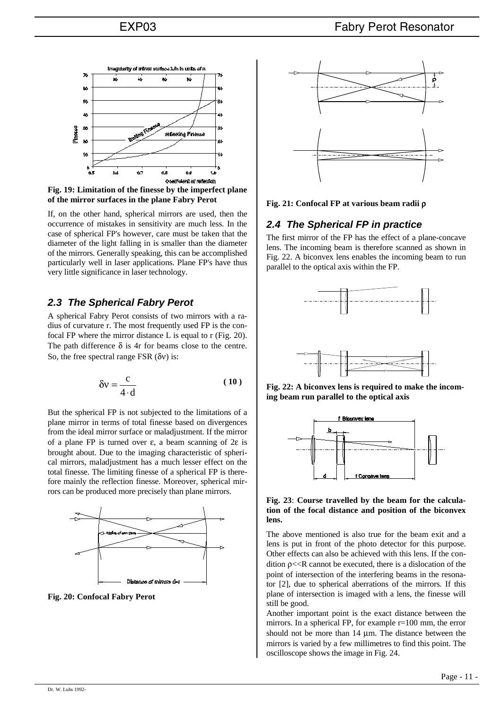

**Fig. 19: Limitation of the finesse by the imperfect plane of the mirror surfaces in the plane Fabry Perot**

If, on the other hand, spherical mirrors are used, then the occurrence of mistakes in sensitivity are much less. In the case of spherical FP's however, care must be taken that the diameter of the light falling in is smaller than the diameter of the mirrors. Generally speaking, this can be accomplished particularly well in laser applications. Plane FP's have thus very little significance in laser technology.

# *2.3 The Spherical Fabry Perot*

A spherical Fabry Perot consists of two mirrors with a radius of curvature r. The most frequently used FP is the confocal FP where the mirror distance L is equal to r (Fig. 20). The path difference  $\delta$  is 4r for beams close to the centre. So, the free spectral range FSR  $(\delta v)$  is:

$$
\delta v = \frac{c}{4 \cdot d} \tag{10}
$$

But the spherical FP is not subjected to the limitations of a plane mirror in terms of total finesse based on divergences from the ideal mirror surface or maladjustment. If the mirror of a plane FP is turned over ε, a beam scanning of 2ε is brought about. Due to the imaging characteristic of spherical mirrors, maladjustment has a much lesser effect on the total finesse. The limiting finesse of a spherical FP is therefore mainly the reflection finesse. Moreover, spherical mirrors can be produced more precisely than plane mirrors.



**Fig. 20: Confocal Fabry Perot**



**Fig. 21: Confocal FP at various beam radii** ρ

# *2.4 The Spherical FP in practice*

The first mirror of the FP has the effect of a plane-concave lens. The incoming beam is therefore scanned as shown in Fig. 22. A biconvex lens enables the incoming beam to run parallel to the optical axis within the FP.



**Fig. 22: A biconvex lens is required to make the incoming beam run parallel to the optical axis**



### **Fig. 23**: **Course travelled by the beam for the calculation of the focal distance and position of the biconvex lens.**

The above mentioned is also true for the beam exit and a lens is put in front of the photo detector for this purpose. Other effects can also be achieved with this lens. If the condition  $p \ll R$  cannot be executed, there is a dislocation of the point of intersection of the interfering beams in the resonator [2], due to spherical aberrations of the mirrors. If this plane of intersection is imaged with a lens, the finesse will still be good.

Another important point is the exact distance between the mirrors. In a spherical FP, for example r=100 mm, the error should not be more than 14  $\mu$ m. The distance between the mirrors is varied by a few millimetres to find this point. The oscilloscope shows the image in Fig. 24.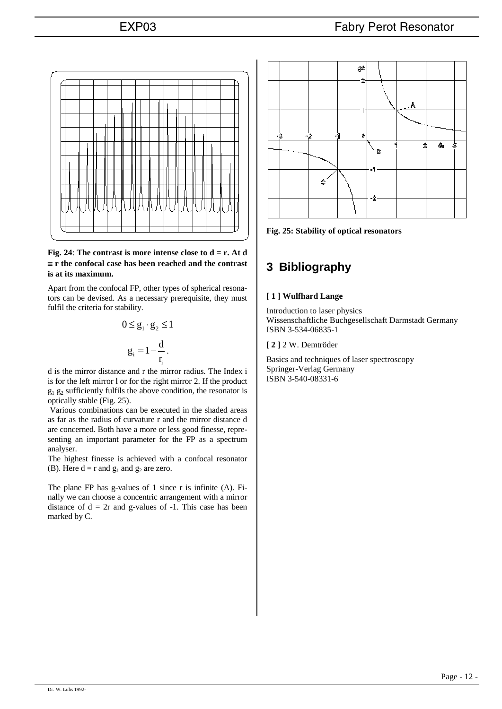

### **Fig. 24**: **The contrast is more intense close to d = r. At d**  ≡ **r the confocal case has been reached and the contrast is at its maximum.**

Apart from the confocal FP, other types of spherical resonators can be devised. As a necessary prerequisite, they must fulfil the criteria for stability.

$$
0 \le g_1 \cdot g_2 \le 1
$$

$$
g_i = 1 - \frac{d}{r_i}.
$$

d is the mirror distance and r the mirror radius. The Index i is for the left mirror l or for the right mirror 2. If the product  $g_1$   $g_2$  sufficiently fulfils the above condition, the resonator is optically stable (Fig. 25).

Various combinations can be executed in the shaded areas as far as the radius of curvature r and the mirror distance d are concerned. Both have a more or less good finesse, representing an important parameter for the FP as a spectrum analyser.

The highest finesse is achieved with a confocal resonator (B). Here  $d = r$  and  $g_1$  and  $g_2$  are zero.

The plane FP has g-values of 1 since r is infinite (A). Finally we can choose a concentric arrangement with a mirror distance of  $d = 2r$  and g-values of  $-1$ . This case has been marked by C.



**Fig. 25: Stability of optical resonators**

# **3 Bibliography**

## **[ 1 ] Wulfhard Lange**

Introduction to laser physics Wissenschaftliche Buchgesellschaft Darmstadt Germany ISBN 3-534-06835-1

**[ 2 ]** 2 W. Demtröder

Basics and techniques of laser spectroscopy Springer-Verlag Germany ISBN 3-540-08331-6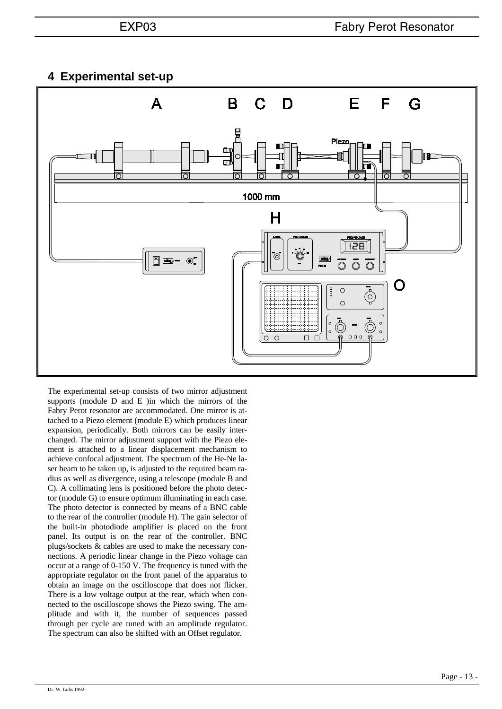# **4 Experimental set-up**



The experimental set-up consists of two mirror adjustment supports (module D and E )in which the mirrors of the Fabry Perot resonator are accommodated. One mirror is attached to a Piezo element (module E) which produces linear expansion, periodically. Both mirrors can be easily interchanged. The mirror adjustment support with the Piezo element is attached to a linear displacement mechanism to achieve confocal adjustment. The spectrum of the He-Ne laser beam to be taken up, is adjusted to the required beam radius as well as divergence, using a telescope (module B and C). A collimating lens is positioned before the photo detector (module G) to ensure optimum illuminating in each case. The photo detector is connected by means of a BNC cable to the rear of the controller (module H). The gain selector of the built-in photodiode amplifier is placed on the front panel. Its output is on the rear of the controller. BNC plugs/sockets & cables are used to make the necessary connections. A periodic linear change in the Piezo voltage can occur at a range of 0-150 V. The frequency is tuned with the appropriate regulator on the front panel of the apparatus to obtain an image on the oscilloscope that does not flicker. There is a low voltage output at the rear, which when connected to the oscilloscope shows the Piezo swing. The amplitude and with it, the number of sequences passed through per cycle are tuned with an amplitude regulator. The spectrum can also be shifted with an Offset regulator.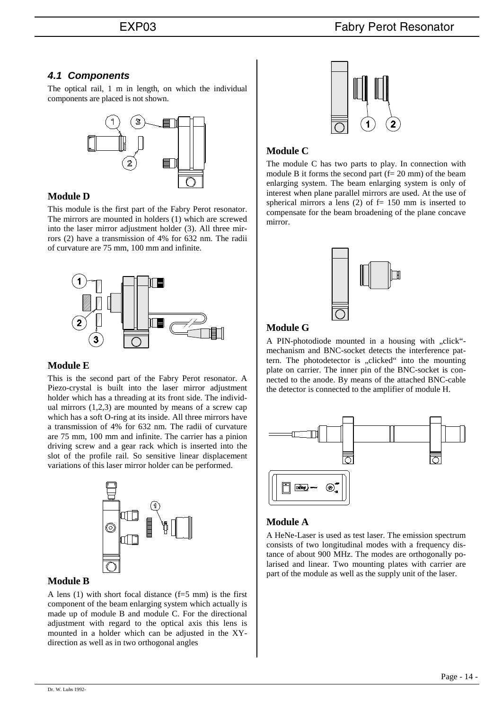# *4.1 Components*

The optical rail, 1 m in length, on which the individual components are placed is not shown.



## **Module D**

This module is the first part of the Fabry Perot resonator. The mirrors are mounted in holders (1) which are screwed into the laser mirror adjustment holder (3). All three mirrors (2) have a transmission of 4% for 632 nm. The radii of curvature are 75 mm, 100 mm and infinite.



## **Module E**

This is the second part of the Fabry Perot resonator. A Piezo-crystal is built into the laser mirror adjustment holder which has a threading at its front side. The individual mirrors  $(1,2,3)$  are mounted by means of a screw cap which has a soft O-ring at its inside. All three mirrors have a transmission of 4% for 632 nm. The radii of curvature are 75 mm, 100 mm and infinite. The carrier has a pinion driving screw and a gear rack which is inserted into the slot of the profile rail. So sensitive linear displacement variations of this laser mirror holder can be performed.



# **Module B**

A lens (1) with short focal distance (f=5 mm) is the first component of the beam enlarging system which actually is made up of module B and module C. For the directional adjustment with regard to the optical axis this lens is mounted in a holder which can be adjusted in the XYdirection as well as in two orthogonal angles



# **Module C**

The module C has two parts to play. In connection with module B it forms the second part  $(f = 20 \text{ mm})$  of the beam enlarging system. The beam enlarging system is only of interest when plane parallel mirrors are used. At the use of spherical mirrors a lens (2) of  $f = 150$  mm is inserted to compensate for the beam broadening of the plane concave mirror.



# **Module G**

A PIN-photodiode mounted in a housing with "click"mechanism and BNC-socket detects the interference pattern. The photodetector is "clicked" into the mounting plate on carrier. The inner pin of the BNC-socket is connected to the anode. By means of the attached BNC-cable the detector is connected to the amplifier of module H.



# **Module A**

A HeNe-Laser is used as test laser. The emission spectrum consists of two longitudinal modes with a frequency distance of about 900 MHz. The modes are orthogonally polarised and linear. Two mounting plates with carrier are part of the module as well as the supply unit of the laser.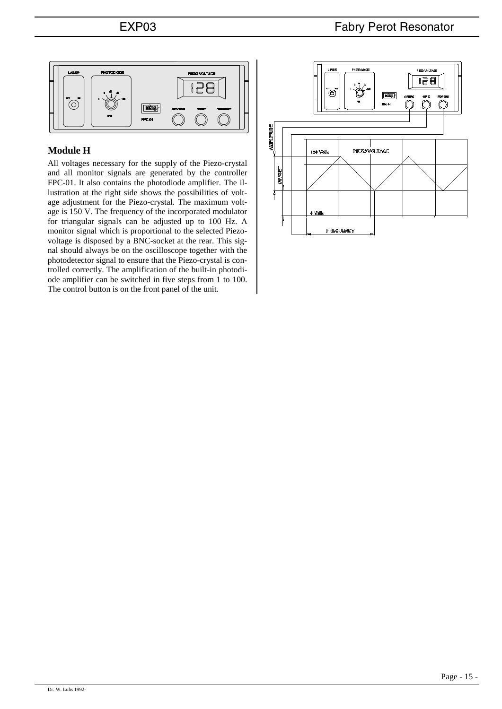

# **Module H**

All voltages necessary for the supply of the Piezo-crystal and all monitor signals are generated by the controller FPC-01. It also contains the photodiode amplifier. The illustration at the right side shows the possibilities of voltage adjustment for the Piezo-crystal. The maximum voltage is 150 V. The frequency of the incorporated modulator for triangular signals can be adjusted up to 100 Hz. A monitor signal which is proportional to the selected Piezovoltage is disposed by a BNC-socket at the rear. This signal should always be on the oscilloscope together with the photodetector signal to ensure that the Piezo-crystal is controlled correctly. The amplification of the built-in photodiode amplifier can be switched in five steps from 1 to 100. The control button is on the front panel of the unit.

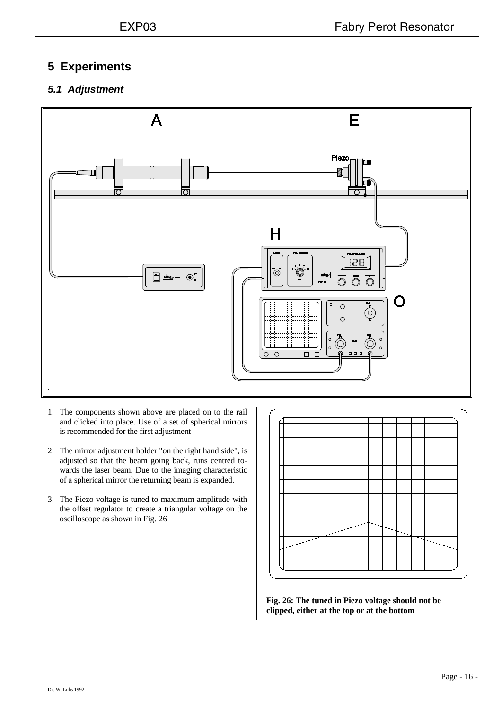# **5 Experiments**

# *5.1 Adjustment*



- 1. The components shown above are placed on to the rail and clicked into place. Use of a set of spherical mirrors is recommended for the first adjustment
- 2. The mirror adjustment holder "on the right hand side", is adjusted so that the beam going back, runs centred towards the laser beam. Due to the imaging characteristic of a spherical mirror the returning beam is expanded.
- 3. The Piezo voltage is tuned to maximum amplitude with the offset regulator to create a triangular voltage on the oscilloscope as shown in Fig. 26



**Fig. 26: The tuned in Piezo voltage should not be clipped, either at the top or at the bottom**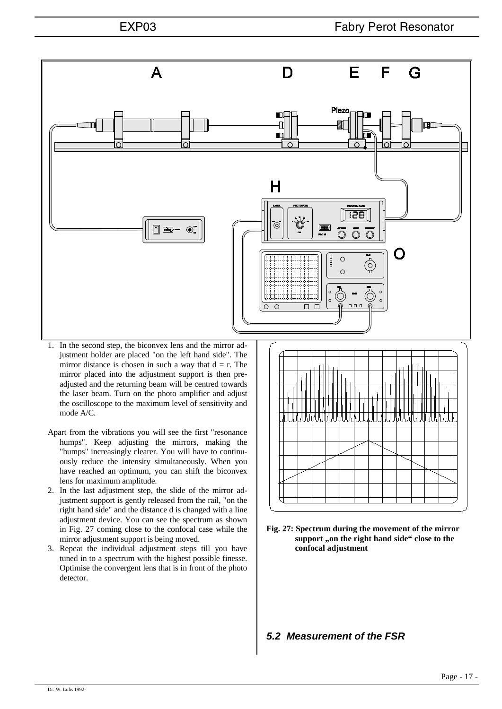

- Apart from the vibrations you will see the first "resonance humps". Keep adjusting the mirrors, making the "humps" increasingly clearer. You will have to continuously reduce the intensity simultaneously. When you have reached an optimum, you can shift the biconvex lens for maximum amplitude.
- 2. In the last adjustment step, the slide of the mirror adjustment support is gently released from the rail, "on the right hand side" and the distance d is changed with a line adjustment device. You can see the spectrum as shown in Fig. 27 coming close to the confocal case while the mirror adjustment support is being moved.
- 3. Repeat the individual adjustment steps till you have tuned in to a spectrum with the highest possible finesse. Optimise the convergent lens that is in front of the photo detector.



**Fig. 27: Spectrum during the movement of the mirror**  support ,,on the right hand side" close to the **confocal adjustment**

# *5.2 Measurement of the FSR*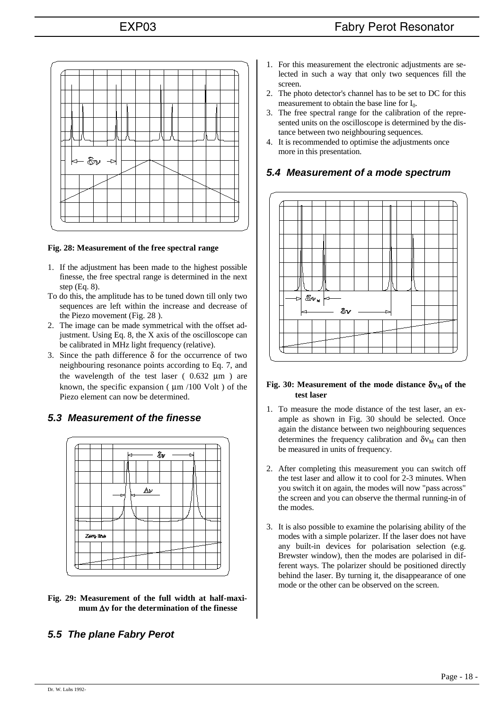

### **Fig. 28: Measurement of the free spectral range**

- 1. If the adjustment has been made to the highest possible finesse, the free spectral range is determined in the next step (Eq. 8).
- To do this, the amplitude has to be tuned down till only two sequences are left within the increase and decrease of the Piezo movement (Fig. 28 ).
- 2. The image can be made symmetrical with the offset adjustment. Using Eq. 8, the X axis of the oscilloscope can be calibrated in MHz light frequency (relative).
- 3. Since the path difference  $\delta$  for the occurrence of two neighbouring resonance points according to Eq. 7, and the wavelength of the test laser  $(0.632 \mu m)$  are known, the specific expansion ( $\mu$ m /100 Volt) of the Piezo element can now be determined.

## *5.3 Measurement of the finesse*



**Fig. 29: Measurement of the full width at half-maximum** ∆ν **for the determination of the finesse**

# *5.5 The plane Fabry Perot*

- 1. For this measurement the electronic adjustments are selected in such a way that only two sequences fill the screen.
- 2. The photo detector's channel has to be set to DC for this measurement to obtain the base line for  $I_0$ .
- 3. The free spectral range for the calibration of the represented units on the oscilloscope is determined by the distance between two neighbouring sequences.
- 4. It is recommended to optimise the adjustments once more in this presentation.

# *5.4 Measurement of a mode spectrum*



### **Fig. 30: Measurement of the mode distance**  $\delta$ **ν<sub>M</sub> of the test laser**

- 1. To measure the mode distance of the test laser, an example as shown in Fig. 30 should be selected. Once again the distance between two neighbouring sequences determines the frequency calibration and  $\delta v_M$  can then be measured in units of frequency.
- 2. After completing this measurement you can switch off the test laser and allow it to cool for 2-3 minutes. When you switch it on again, the modes will now "pass across" the screen and you can observe the thermal running-in of the modes.
- 3. It is also possible to examine the polarising ability of the modes with a simple polarizer. If the laser does not have any built-in devices for polarisation selection (e.g. Brewster window), then the modes are polarised in different ways. The polarizer should be positioned directly behind the laser. By turning it, the disappearance of one mode or the other can be observed on the screen.